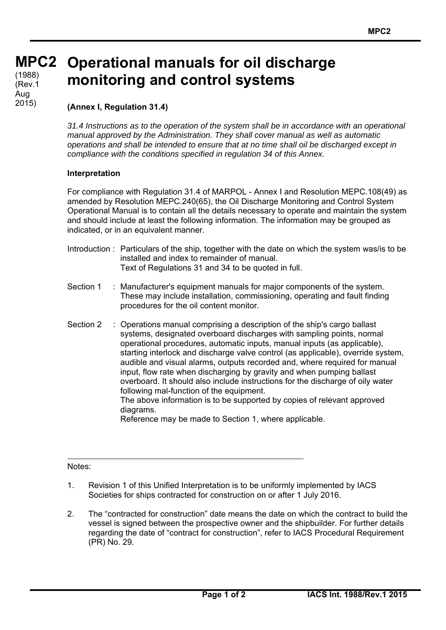**MPC 2 MPC2**   $(1988)$ (Rev.1 Aug 2015)

## **Operational manuals for oil discharge monitoring and control systems**

## **(Annex I, Regulation 31.4)**

*31.4 Instructions as to the operation of the system shall be in accordance with an operational manual approved by the Administration. They shall cover manual as well as automatic operations and shall be intended to ensure that at no time shall oil be discharged except in compliance with the conditions specified in regulation 34 of this Annex.* 

## **Interpretation**

For compliance with Regulation 31.4 of MARPOL - Annex I and Resolution MEPC.108(49) as amended by Resolution MEPC.240(65), the Oil Discharge Monitoring and Control System Operational Manual is to contain all the details necessary to operate and maintain the system and should include at least the following information. The information may be grouped as indicated, or in an equivalent manner.

- Introduction : Particulars of the ship, together with the date on which the system was/is to be installed and index to remainder of manual. Text of Regulations 31 and 34 to be quoted in full.
- Section 1 : Manufacturer's equipment manuals for major components of the system. These may include installation, commissioning, operating and fault finding procedures for the oil content monitor.
- Section 2 : Operations manual comprising a description of the ship's cargo ballast systems, designated overboard discharges with sampling points, normal operational procedures, automatic inputs, manual inputs (as applicable), starting interlock and discharge valve control (as applicable), override system, audible and visual alarms, outputs recorded and, where required for manual input, flow rate when discharging by gravity and when pumping ballast overboard. It should also include instructions for the discharge of oily water following mal-function of the equipment. The above information is to be supported by copies of relevant approved

diagrams.

Reference may be made to Section 1, where applicable.

## Notes:

 $\overline{a}$ 

- 1. Revision 1 of this Unified Interpretation is to be uniformly implemented by IACS Societies for ships contracted for construction on or after 1 July 2016.
- 2. The "contracted for construction" date means the date on which the contract to build the vessel is signed between the prospective owner and the shipbuilder. For further details regarding the date of "contract for construction", refer to IACS Procedural Requirement (PR) No. 29.